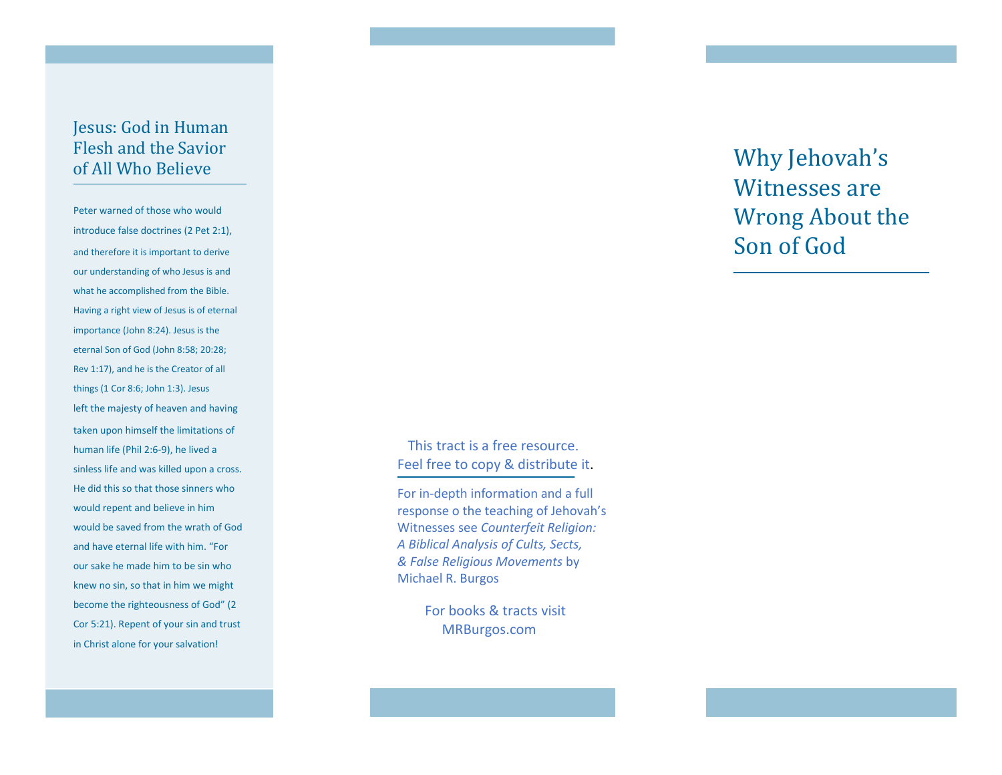## Jesus: God in Human Flesh and the Savior of All Who Believe

Peter warned of those who would introduce false doctrines (2 Pet 2:1), and therefore it is important to derive our understanding of who Jesus is and what he accomplished from the Bible. Having a right view of Jesus is of eternal importance (John 8:24). Jesus is the eternal Son of God (John 8:58; 20:28; Rev 1:17), and he is the Creator of all things (1 Cor 8:6; John 1:3). Jesus left the majesty of heaven and having taken upon himself the limitations of human life (Phil 2:6 -9), he lived a sinless life and was killed upon a cross. He did this so that those sinners who would repent and believe in him would be saved from the wrath of God and have eternal life with him. "For our sake he made him to be sin who knew no sin, so that in him we might become the righteousness of God" (2 Cor 5:21). Repent of your sin and trust in Christ alone for your salvation!

 This tract is a free resource. Feel free to copy & distribute it.

For in -depth information and a full r esponse o the teaching of Jehovah 's Witnesses see *Counterfeit Religion: A Biblical Analysis of Cults, Sects, & False Religious Movements* by Michael R. Burgos

 For books & tracts visit MRB urgos.com

# Why Jehovah's Witnesses are Wrong About the Son of God